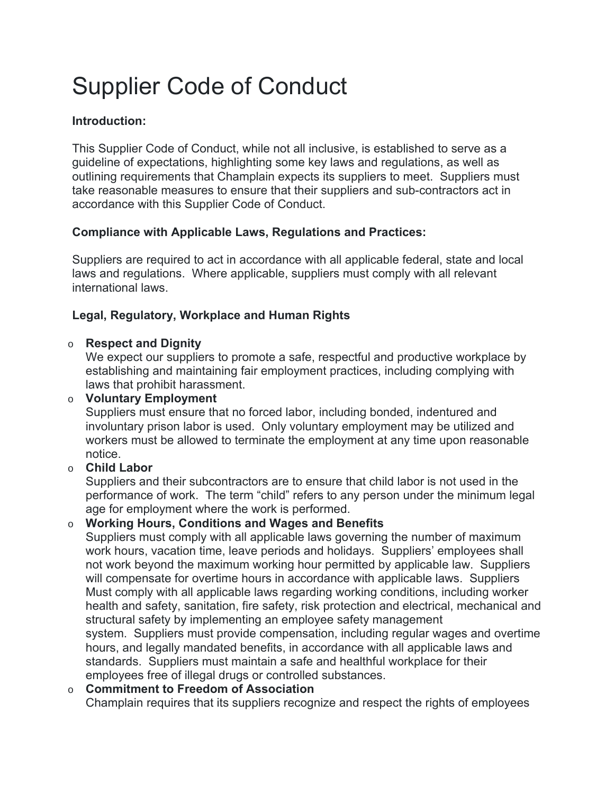# Supplier Code of Conduct

## **Introduction:**

This Supplier Code of Conduct, while not all inclusive, is established to serve as a guideline of expectations, highlighting some key laws and regulations, as well as outlining requirements that Champlain expects its suppliers to meet. Suppliers must take reasonable measures to ensure that their suppliers and sub-contractors act in accordance with this Supplier Code of Conduct.

## **Compliance with Applicable Laws, Regulations and Practices:**

Suppliers are required to act in accordance with all applicable federal, state and local laws and regulations. Where applicable, suppliers must comply with all relevant international laws.

## **Legal, Regulatory, Workplace and Human Rights**

#### o **Respect and Dignity**

We expect our suppliers to promote a safe, respectful and productive workplace by establishing and maintaining fair employment practices, including complying with laws that prohibit harassment.

#### o **Voluntary Employment**

Suppliers must ensure that no forced labor, including bonded, indentured and involuntary prison labor is used. Only voluntary employment may be utilized and workers must be allowed to terminate the employment at any time upon reasonable notice.

#### o **Child Labor**

Suppliers and their subcontractors are to ensure that child labor is not used in the performance of work. The term "child" refers to any person under the minimum legal age for employment where the work is performed.

## o **Working Hours, Conditions and Wages and Benefits**

Suppliers must comply with all applicable laws governing the number of maximum work hours, vacation time, leave periods and holidays. Suppliers' employees shall not work beyond the maximum working hour permitted by applicable law. Suppliers will compensate for overtime hours in accordance with applicable laws. Suppliers Must comply with all applicable laws regarding working conditions, including worker health and safety, sanitation, fire safety, risk protection and electrical, mechanical and structural safety by implementing an employee safety management system. Suppliers must provide compensation, including regular wages and overtime hours, and legally mandated benefits, in accordance with all applicable laws and standards. Suppliers must maintain a safe and healthful workplace for their employees free of illegal drugs or controlled substances.

#### o **Commitment to Freedom of Association**

Champlain requires that its suppliers recognize and respect the rights of employees